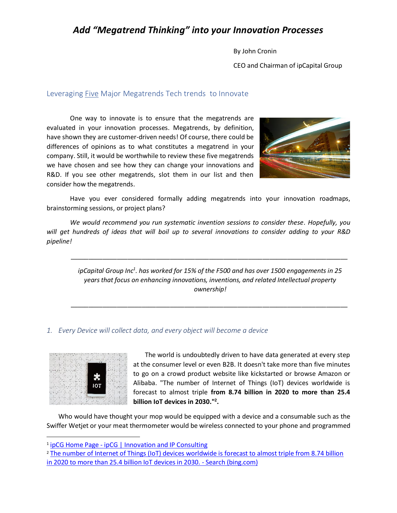By John Cronin

CEO and Chairman of ipCapital Group

### Leveraging Five Major Megatrends Tech trends to Innovate

One way to innovate is to ensure that the megatrends are evaluated in your innovation processes. Megatrends, by definition, have shown they are customer-driven needs! Of course, there could be differences of opinions as to what constitutes a megatrend in your company. Still, it would be worthwhile to review these five megatrends we have chosen and see how they can change your innovations and R&D. If you see other megatrends, slot them in our list and then consider how the megatrends.



Have you ever considered formally adding megatrends into your innovation roadmaps, brainstorming sessions, or project plans?

*We would recommend you run systematic invention sessions to consider these. Hopefully, you will get hundreds of ideas that will boil up to several innovations to consider adding to your R&D pipeline!*

*ipCapital Group Inc<sup>1</sup> . has worked for 15% of the F500 and has over 1500 engagements in 25 years that focus on enhancing innovations, inventions, and related Intellectual property ownership!*

*\_\_\_\_\_\_\_\_\_\_\_\_\_\_\_\_\_\_\_\_\_\_\_\_\_\_\_\_\_\_\_\_\_\_\_\_\_\_\_\_\_\_\_\_\_\_\_\_\_\_\_\_\_\_\_\_\_\_\_\_\_\_\_\_\_\_\_\_\_\_\_\_\_\_\_\_\_\_*

*\_\_\_\_\_\_\_\_\_\_\_\_\_\_\_\_\_\_\_\_\_\_\_\_\_\_\_\_\_\_\_\_\_\_\_\_\_\_\_\_\_\_\_\_\_\_\_\_\_\_\_\_\_\_\_\_\_\_\_\_\_\_\_\_\_\_\_\_\_\_\_\_\_\_\_\_\_\_*

#### *1. Every Device will collect data, and every object will become a device*



The world is undoubtedly driven to have data generated at every step at the consumer level or even B2B. It doesn't take more than five minutes to go on a crowd product website like kickstarted or browse Amazon or Alibaba. "The number of Internet of Things (IoT) devices worldwide is forecast to almost triple **from 8.74 billion in 2020 to more than 25.4 billion IoT devices in 2030." 2 .**

Who would have thought your mop would be equipped with a device and a consumable such as the Swiffer Wetjet or your meat thermometer would be wireless connected to your phone and programmed

<sup>&</sup>lt;sup>1</sup> ipCG Home Page - [ipCG | Innovation and IP Consulting](https://www.ipcg.com/)

<sup>2</sup> [The number of Internet of Things \(IoT\) devices worldwide is forecast to almost triple from 8.74 billion](https://www.bing.com/search?q=The%20number%20of%20Internet%20of%20Things%20(IoT)%20devices%20worldwide%20is%20forecast%20to%20almost%20triple%20from%208.74%20billion%20in%202020%20to%20more%20than%2025.4%20billion%20IoT%20devices%20in%202030.&form=IPRV10)  [in 2020 to more than 25.4 billion IoT devices in 2030. -](https://www.bing.com/search?q=The%20number%20of%20Internet%20of%20Things%20(IoT)%20devices%20worldwide%20is%20forecast%20to%20almost%20triple%20from%208.74%20billion%20in%202020%20to%20more%20than%2025.4%20billion%20IoT%20devices%20in%202030.&form=IPRV10) Search (bing.com)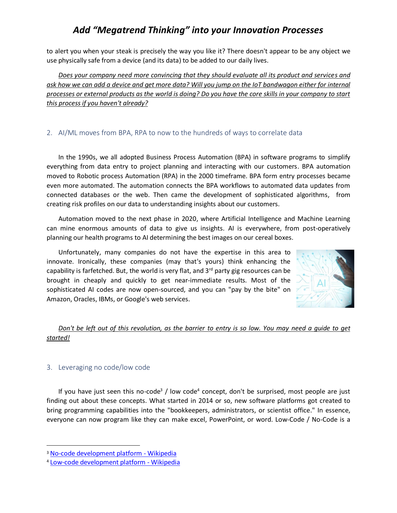to alert you when your steak is precisely the way you like it? There doesn't appear to be any object we use physically safe from a device (and its data) to be added to our daily lives.

*Does your company need more convincing that they should evaluate all its product and services and ask how we can add a device and get more data? Will you jump on the IoT bandwagon either for internal processes or external products as the world is doing? Do you have the core skills in your company to start this process if you haven't already?*

### 2. AI/ML moves from BPA, RPA to now to the hundreds of ways to correlate data

In the 1990s, we all adopted Business Process Automation (BPA) in software programs to simplify everything from data entry to project planning and interacting with our customers. BPA automation moved to Robotic process Automation (RPA) in the 2000 timeframe. BPA form entry processes became even more automated. The automation connects the BPA workflows to automated data updates from connected databases or the web. Then came the development of sophisticated algorithms, from creating risk profiles on our data to understanding insights about our customers.

Automation moved to the next phase in 2020, where Artificial Intelligence and Machine Learning can mine enormous amounts of data to give us insights. AI is everywhere, from post-operatively planning our health programs to AI determining the best images on our cereal boxes.

Unfortunately, many companies do not have the expertise in this area to innovate. Ironically, these companies (may that's yours) think enhancing the capability is farfetched. But, the world is very flat, and  $3<sup>rd</sup>$  party gig resources can be brought in cheaply and quickly to get near-immediate results. Most of the sophisticated AI codes are now open-sourced, and you can "pay by the bite" on Amazon, Oracles, IBMs, or Google's web services.



## *Don't be left out of this revolution, as the barrier to entry is so low. You may need a guide to get started!*

### 3. Leveraging no code/low code

If you have just seen this no-code<sup>3</sup> / low code<sup>4</sup> concept, don't be surprised, most people are just finding out about these concepts. What started in 2014 or so, new software platforms got created to bring programming capabilities into the "bookkeepers, administrators, or scientist office." In essence, everyone can now program like they can make excel, PowerPoint, or word. Low-Code / No-Code is a

<sup>3</sup> [No-code development platform -](https://en.wikipedia.org/wiki/No-code_development_platform) Wikipedia

<sup>4</sup> [Low-code development platform -](https://en.wikipedia.org/wiki/Low-code_development_platform) Wikipedia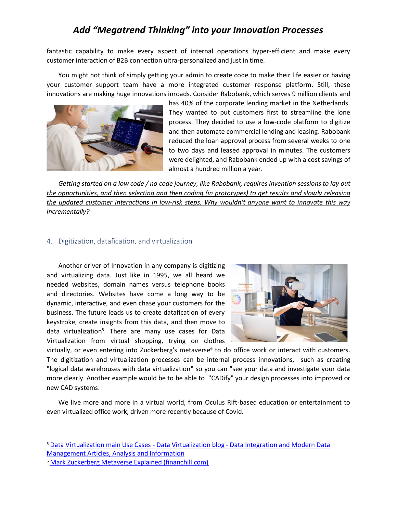fantastic capability to make every aspect of internal operations hyper-efficient and make every customer interaction of B2B connection ultra-personalized and just in time.

You might not think of simply getting your admin to create code to make their life easier or having your customer support team have a more integrated customer response platform. Still, these innovations are making huge innovations inroads. Consider Rabobank, which serves 9 million clients and



has 40% of the corporate lending market in the Netherlands. They wanted to put customers first to streamline the lone process. They decided to use a low-code platform to digitize and then automate commercial lending and leasing. Rabobank reduced the loan approval process from several weeks to one to two days and leased approval in minutes. The customers were delighted, and Rabobank ended up with a cost savings of almost a hundred million a year.

*Getting started on a low code / no code journey, like Rabobank, requires invention sessions to lay out the opportunities, and then selecting and then coding (in prototypes) to get results and slowly releasing the updated customer interactions in low-risk steps. Why wouldn't anyone want to innovate this way incrementally?*

#### 4. Digitization, datafication, and virtualization

Another driver of Innovation in any company is digitizing and virtualizing data. Just like in 1995, we all heard we needed websites, domain names versus telephone books and directories. Websites have come a long way to be dynamic, interactive, and even chase your customers for the business. The future leads us to create datafication of every keystroke, create insights from this data, and then move to data virtualization<sup>5</sup>. There are many use cases for Data Virtualization from virtual shopping, trying on clothes



virtually, or even entering into Zuckerberg's metaverse<sup>6</sup> to do office work or interact with customers. The digitization and virtualization processes can be internal process innovations, such as creating "logical data warehouses with data virtualization" so you can "see your data and investigate your data more clearly. Another example would be to be able to "CADify" your design processes into improved or new CAD systems.

We live more and more in a virtual world, from Oculus Rift-based education or entertainment to even virtualized office work, driven more recently because of Covid.

<sup>5</sup> [Data Virtualization main Use Cases -](https://www.datavirtualizationblog.com/data-virtualization-main-use-cases/#:~:text=In%20terms%20of%20Operational%20uses%20cases%20for%20data,application%20across%20a%20retailer%20and%2For%20supply%20chain%20network.) Data Virtualization blog - Data Integration and Modern Data [Management Articles, Analysis and Information](https://www.datavirtualizationblog.com/data-virtualization-main-use-cases/#:~:text=In%20terms%20of%20Operational%20uses%20cases%20for%20data,application%20across%20a%20retailer%20and%2For%20supply%20chain%20network.)

<sup>6</sup> [Mark Zuckerberg Metaverse Explained \(financhill.com\)](https://financhill.com/blog/investing/mark-zuckerberg-metaverse-explained#:~:text=The%20Bottom%20Line%3A%20Mark%20Zuckerberg%E2%80%99s%20Metaverse%20Explained%20When,in%20search%20of%20a%20new%20one%20to%20play.)